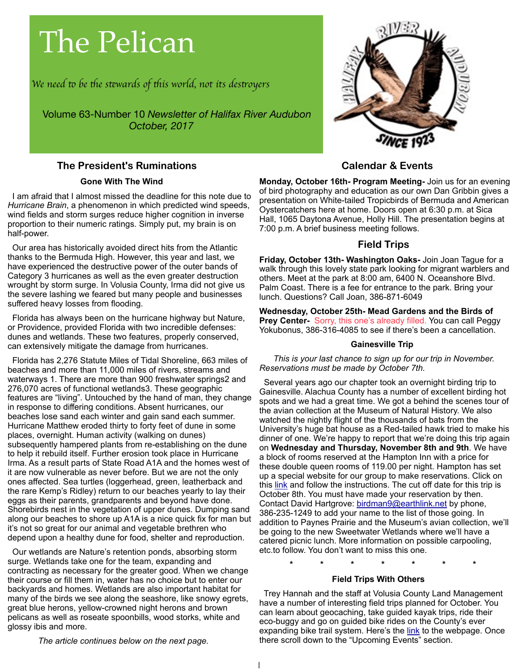# The Pelican

*We need* t *be* t*e s*t*wards of* t*is world, not its des*t*oyers*

Volume 63-Number 10 *Newsletter of Halifax River Audubon October, 2017*

#### **The President's Ruminations**

#### **Gone With The Wind**

 I am afraid that I almost missed the deadline for this note due to *Hurricane Brain*, a phenomenon in which predicted wind speeds, wind fields and storm surges reduce higher cognition in inverse proportion to their numeric ratings. Simply put, my brain is on half-power.

 Our area has historically avoided direct hits from the Atlantic thanks to the Bermuda High. However, this year and last, we have experienced the destructive power of the outer bands of Category 3 hurricanes as well as the even greater destruction wrought by storm surge. In Volusia County, Irma did not give us the severe lashing we feared but many people and businesses suffered heavy losses from flooding.

 Florida has always been on the hurricane highway but Nature, or Providence, provided Florida with two incredible defenses: dunes and wetlands. These two features, properly conserved, can extensively mitigate the damage from hurricanes.

 Florida has 2,276 Statute Miles of Tidal Shoreline, 663 miles of beaches and more than 11,000 miles of rivers, streams and waterways 1. There are more than 900 freshwater springs2 and 276,070 acres of functional wetlands3. These geographic features are "living". Untouched by the hand of man, they change in response to differing conditions. Absent hurricanes, our beaches lose sand each winter and gain sand each summer. Hurricane Matthew eroded thirty to forty feet of dune in some places, overnight. Human activity (walking on dunes) subsequently hampered plants from re-establishing on the dune to help it rebuild itself. Further erosion took place in Hurricane Irma. As a result parts of State Road A1A and the homes west of it are now vulnerable as never before. But we are not the only ones affected. Sea turtles (loggerhead, green, leatherback and the rare Kemp's Ridley) return to our beaches yearly to lay their eggs as their parents, grandparents and beyond have done. Shorebirds nest in the vegetation of upper dunes. Dumping sand along our beaches to shore up A1A is a nice quick fix for man but it's not so great for our animal and vegetable brethren who depend upon a healthy dune for food, shelter and reproduction.

 Our wetlands are Nature's retention ponds, absorbing storm surge. Wetlands take one for the team, expanding and contracting as necessary for the greater good. When we change their course or fill them in, water has no choice but to enter our backyards and homes. Wetlands are also important habitat for many of the birds we see along the seashore, like snowy egrets, great blue herons, yellow-crowned night herons and brown pelicans as well as roseate spoonbills, wood storks, white and glossy ibis and more.

*The article continues below on the next page.*



## **Calendar & Events**

**Monday, October 16th- Program Meeting-** Join us for an evening of bird photography and education as our own Dan Gribbin gives a presentation on White-tailed Tropicbirds of Bermuda and American Oystercatchers here at home. Doors open at 6:30 p.m. at Sica Hall, 1065 Daytona Avenue, Holly Hill. The presentation begins at 7:00 p.m. A brief business meeting follows.

## **Field Trips**

**Friday, October 13th- Washington Oaks-** Join Joan Tague for a walk through this lovely state park looking for migrant warblers and others. Meet at the park at 8:00 am, 6400 N. Oceanshore Blvd. Palm Coast. There is a fee for entrance to the park. Bring your lunch. Questions? Call Joan, 386-871-6049

**Wednesday, October 25th- Mead Gardens and the Birds of Prey Center-** Sorry, this one's already filled. You can call Peggy Yokubonus, 386-316-4085 to see if there's been a cancellation.

### **Gainesville Trip**

 *This is your last chance to sign up for our trip in November. Reservations must be made by October 7th.*

 Several years ago our chapter took an overnight birding trip to Gainesville. Alachua County has a number of excellent birding hot spots and we had a great time. We got a behind the scenes tour of the avian collection at the Museum of Natural History. We also watched the nightly flight of the thousands of bats from the University's huge bat house as a Red-tailed hawk tried to make his dinner of one. We're happy to report that we're doing this trip again on **Wednesday and Thursday, November 8th and 9th**. We have a block of rooms reserved at the Hampton Inn with a price for these double queen rooms of 119.00 per night. Hampton has set up a special website for our group to make reservations. Click on this [link](http://hamptoninn.hilton.com/en/hp/groups/personalized/G/GNVFLHX-HRA-20171108/index.jhtml?WT.mc_id=POG) and follow the instructions. The cut off date for this trip is October 8th. You must have made your reservation by then. Contact David Hartgrove: [birdman9@earthlink.net](mailto:birdman9@earthlink.net) by phone, 386-235-1249 to add your name to the list of those going. In addition to Paynes Prairie and the Museum's avian collection, we'll be going to the new Sweetwater Wetlands where we'll have a catered picnic lunch. More information on possible carpooling, etc.to follow. You don't want to miss this one.

**\* \* \* \* \* \* \***

#### **Field Trips With Others**

 Trey Hannah and the staff at Volusia County Land Management have a number of interesting field trips planned for October. You can learn about geocaching, take guided kayak trips, ride their eco-buggy and go on guided bike rides on the County's ever expanding bike trail system. Here's the [link](https://www.volusia.org/services/growth-and-resource-management/environmental-management/educate-volusia/index.stml) to the webpage. Once there scroll down to the "Upcoming Events" section.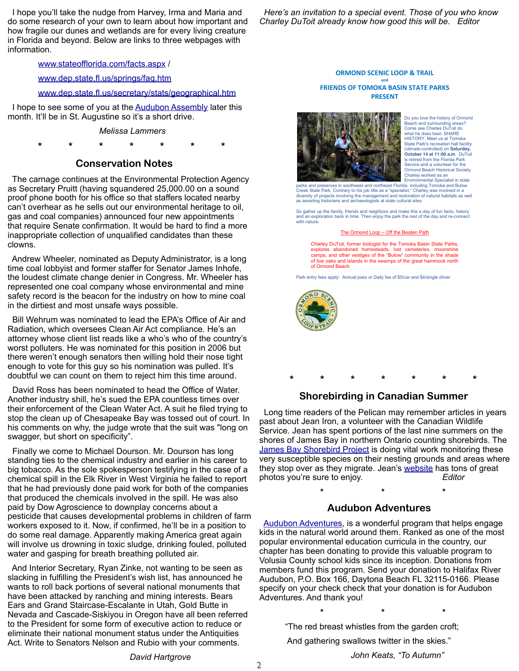I hope you'll take the nudge from Harvey, Irma and Maria and do some research of your own to learn about how important and how fragile our dunes and wetlands are for every living creature in Florida and beyond. Below are links to three webpages with information.

[www.stateofflorida.com/facts.aspx](http://www.stateofflorida.com/facts.aspx) /

[www.dep.state.fl.us/springs/faq.htm](http://www.dep.state.fl.us/springs/faq.htm)

#### [www.dep.state.fl.us/secretary/stats/geographical.htm](http://www.dep.state.fl.us/secretary/stats/geographical.htm)

 I hope to see some of you at the [Audubon Assembly](http://fl.audubon.org/about-us/audubon-assembly) later this month. It'll be in St. Augustine so it's a short drive.

#### *Melissa Lammers*

**\* \* \* \* \* \* \***

#### **Conservation Notes**

 The carnage continues at the Environmental Protection Agency as Secretary Pruitt (having squandered 25,000.00 on a sound proof phone booth for his office so that staffers located nearby can't overhear as he sells out our environmental heritage to oil, gas and coal companies) announced four new appointments that require Senate confirmation. It would be hard to find a more inappropriate collection of unqualified candidates than these clowns.

 Andrew Wheeler, nominated as Deputy Administrator, is a long time coal lobbyist and former staffer for Senator James Inhofe, the loudest climate change denier in Congress. Mr. Wheeler has represented one coal company whose environmental and mine safety record is the beacon for the industry on how to mine coal in the dirtiest and most unsafe ways possible.

 Bill Wehrum was nominated to lead the EPA's Office of Air and Radiation, which oversees Clean Air Act compliance. He's an attorney whose client list reads like a who's who of the country's worst polluters. He was nominated for this position in 2006 but there weren't enough senators then willing hold their nose tight enough to vote for this guy so his nomination was pulled. It's doubtful we can count on them to reject him this time around.

 David Ross has been nominated to head the Office of Water. Another industry shill, he's sued the EPA countless times over their enforcement of the Clean Water Act. A suit he filed trying to stop the clean up of Chesapeake Bay was tossed out of court. In his comments on why, the judge wrote that the suit was "long on swagger, but short on specificity".

 Finally we come to Michael Dourson. Mr. Dourson has long standing ties to the chemical industry and earlier in his career to big tobacco. As the sole spokesperson testifying in the case of a chemical spill in the Elk River in West Virginia he failed to report that he had previously done paid work for both of the companies that produced the chemicals involved in the spill. He was also paid by Dow Agroscience to downplay concerns about a pesticide that causes developmental problems in children of farm workers exposed to it. Now, if confirmed, he'll be in a position to do some real damage. Apparently making America great again will involve us drowning in toxic sludge, drinking fouled, polluted water and gasping for breath breathing polluted air.

 And Interior Secretary, Ryan Zinke, not wanting to be seen as slacking in fulfilling the President's wish list, has announced he wants to roll back portions of several national monuments that have been attacked by ranching and mining interests. Bears Ears and Grand Staircase-Escalante in Utah, Gold Butte in Nevada and Cascade-Siskiyou in Oregon have all been referred to the President for some form of executive action to reduce or eliminate their national monument status under the Antiquities Act. Write to Senators Nelson and Rubio with your comments.

#### *David Hartgrove*

 *Here's an invitation to a special event. Those of you who know Charley DuToit already know how good this will be. Editor*

#### **ORMOND SCENIC LOOP & TRAIL and FRIENDS OF TOMOKA BASIN STATE PARKS PRESENT**



Do you love the history of Ormond Beach and surrounding areas? Come see Charles DuToit do what he does best- SHARE HISTORY. Meet us at Tomoka State Park's recreation hall facility (climate-controlled) on **Saturday, October 14 at 11:00 a.m**. DuToit is retired from the Florida Park Service and a volunteer for the Ormond Beach Historical Society. Charley worked as an Environmental Specialist in state

parks and preserves in southwest and northeast Florida, including Tomoka and Bulow Creek State Park. Contrary to his job title as a "specialist," Charley was involved in a diversity of projects involving the management and restoration of natural habitats as well as assisting historians and archaeologists at state cultural sites.

So gather up the family, friends and neighbors and make this a day of fun facts, history and an exploration back in time. Then enjoy the park the rest of the day and re-connect with nature.

#### Off the Beate

Charley DuToit, former biologist for the Tomoka Basin State Parks, explores abandoned homesteads, lost cemeteries, moonshine camps, and other vestiges of the "Bulow" community in the shade of live oaks and islands in the swamps of the great hammock north of Ormond Beach

Park entry fees apply: Annual pass or Daily fee of \$5/car and \$4/single driver



## **\* \* \* \* \* \* \* Shorebirding in Canadian Summer**

 Long time readers of the Pelican may remember articles in years past about Jean Iron, a volunteer with the Canadian Wildlife Service. Jean has spent portions of the last nine summers on the shores of James Bay in northern Ontario counting shorebirds. The [James Bay Shorebird Project](https://www.jamesbayshorebirdproject.com) is doing vital work monitoring these very susceptible species on their nesting grounds and areas where they stop over as they migrate. Jean's [website](http://jeaniron.ca/2017/JB17/p1.htm) has tons of great photos you're sure to enjoy. *Editor*

#### **Audubon Adventures**

**\* \* \***

**\* \* \***

 [Audubon Adventures,](http://www.audubon.org/conservation/audubon-adventures) is a wonderful program that helps engage kids in the natural world around them. Ranked as one of the most popular environmental education curricula in the country, our chapter has been donating to provide this valuable program to Volusia County school kids since its inception. Donations from members fund this program. Send your donation to Halifax River Audubon, P.O. Box 166, Daytona Beach FL 32115-0166. Please specify on your check check that your donation is for Audubon Adventures. And thank you!

"The red breast whistles from the garden croft;

And gathering swallows twitter in the skies."

*John Keats, "To Autumn"*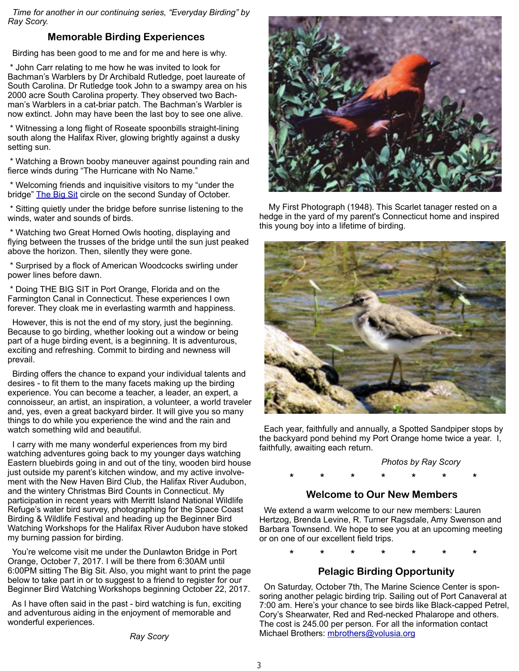*Time for another in our continuing series, "Everyday Birding" by Ray Scory.*

## **Memorable Birding Experiences**

Birding has been good to me and for me and here is why.

 \* John Carr relating to me how he was invited to look for Bachman's Warblers by Dr Archibald Rutledge, poet laureate of South Carolina. Dr Rutledge took John to a swampy area on his 2000 acre South Carolina property. They observed two Bachman's Warblers in a cat-briar patch. The Bachman's Warbler is now extinct. John may have been the last boy to see one alive.

 \* Witnessing a long flight of Roseate spoonbills straight-lining south along the Halifax River, glowing brightly against a dusky setting sun.

 \* Watching a Brown booby maneuver against pounding rain and fierce winds during "The Hurricane with No Name."

 \* Welcoming friends and inquisitive visitors to my "under the bridge" [The Big Sit](https://www.birdwatchersdigest.com/bwdsite/connect/bigsit/about.php) circle on the second Sunday of October.

 \* Sitting quietly under the bridge before sunrise listening to the winds, water and sounds of birds.

 \* Watching two Great Horned Owls hooting, displaying and flying between the trusses of the bridge until the sun just peaked above the horizon. Then, silently they were gone.

 \* Surprised by a flock of American Woodcocks swirling under power lines before dawn.

 \* Doing THE BIG SIT in Port Orange, Florida and on the Farmington Canal in Connecticut. These experiences I own forever. They cloak me in everlasting warmth and happiness.

 However, this is not the end of my story, just the beginning. Because to go birding, whether looking out a window or being part of a huge birding event, is a beginning. It is adventurous, exciting and refreshing. Commit to birding and newness will prevail.

 Birding offers the chance to expand your individual talents and desires - to fit them to the many facets making up the birding experience. You can become a teacher, a leader, an expert, a connoisseur, an artist, an inspiration, a volunteer, a world traveler and, yes, even a great backyard birder. It will give you so many things to do while you experience the wind and the rain and watch something wild and beautiful.

 I carry with me many wonderful experiences from my bird watching adventures going back to my younger days watching Eastern bluebirds going in and out of the tiny, wooden bird house just outside my parent's kitchen window, and my active involvement with the New Haven Bird Club, the Halifax River Audubon, and the wintery Christmas Bird Counts in Connecticut. My participation in recent years with Merritt Island National Wildlife Refuge's water bird survey, photographing for the Space Coast Birding & Wildlife Festival and heading up the Beginner Bird Watching Workshops for the Halifax River Audubon have stoked my burning passion for birding.

 You're welcome visit me under the Dunlawton Bridge in Port Orange, October 7, 2017. I will be there from 6:30AM until 6:00PM sitting The Big Sit. Also, you might want to print the page below to take part in or to suggest to a friend to register for our Beginner Bird Watching Workshops beginning October 22, 2017.

 As I have often said in the past - bird watching is fun, exciting and adventurous aiding in the enjoyment of memorable and wonderful experiences.

*Ray Scory*



 My First Photograph (1948). This Scarlet tanager rested on a hedge in the yard of my parent's Connecticut home and inspired this young boy into a lifetime of birding.



 Each year, faithfully and annually, a Spotted Sandpiper stops by the backyard pond behind my Port Orange home twice a year. I, faithfully, awaiting each return.

#### *Photos by Ray Scory*

**\* \* \* \* \* \* \***

#### **Welcome to Our New Members**

 We extend a warm welcome to our new members: Lauren Hertzog, Brenda Levine, R. Turner Ragsdale, Amy Swenson and Barbara Townsend. We hope to see you at an upcoming meeting or on one of our excellent field trips.

**\* \* \* \* \* \* \***

### **Pelagic Birding Opportunity**

 On Saturday, October 7th, The Marine Science Center is sponsoring another pelagic birding trip. Sailing out of Port Canaveral at 7:00 am. Here's your chance to see birds like Black-capped Petrel, Cory's Shearwater, Red and Red-necked Phalarope and others. The cost is 245.00 per person. For all the information contact Michael Brothers: [mbrothers@volusia.org](mailto:mbrothers@volusia.org)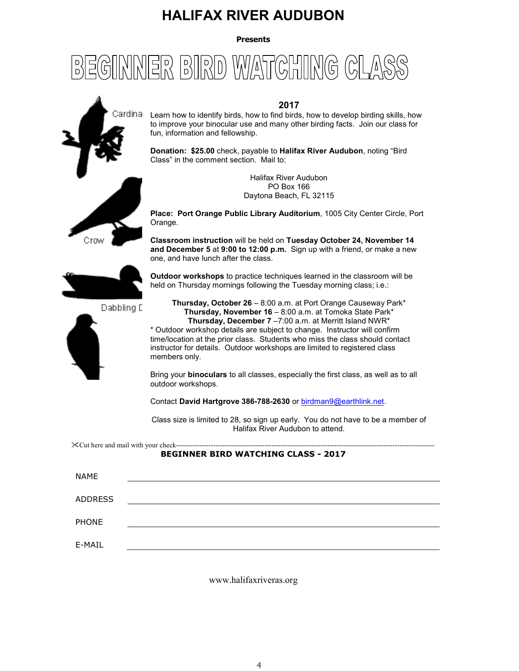# **HALIFAX RIVER AUDUBON**

**Presents** 

#### $\begin{bmatrix} D \\ D \end{bmatrix}$  $\begin{pmatrix} 1 & 0 \\ 0 & 1 \end{pmatrix}$  $|\vec{\mathsf{H}}|_\mathsf{M}^\mathsf{D}$  $\lfloor 2 \rfloor$  $V_A V / \Delta$  $(\mathbb{G}% )_{\mathrm{H}}=\mathbb{Z}^{3}\times\mathbb{Z}^{3}$



#### **2017**

Learn how to identify birds, how to find birds, how to develop birding skills, how to improve your binocular use and many other birding facts. Join our class for fun, information and fellowship.

**Donation: \$25.00** check, payable to **Halifax River Audubon**, noting "Bird Class" in the comment section. Mail to:

> Halifax River Audubon PO Box 166 Daytona Beach, FL 32115

**Place: Port Orange Public Library Auditorium**, 1005 City Center Circle, Port Orange.

**Classroom instruction** will be held on **Tuesday October 24, November 14 and December 5** at **9:00 to 12:00 p.m.** Sign up with a friend, or make a new one, and have lunch after the class.



Dabbling E



**Thursday, October 26** – 8:00 a.m. at Port Orange Causeway Park\* **Thursday, November 16** – 8:00 a.m. at Tomoka State Park\* **Thursday, December 7** –7:00 a.m. at Merritt Island NWR\* \* Outdoor workshop details are subject to change. Instructor will confirm time/location at the prior class. Students who miss the class should contact instructor for details. Outdoor workshops are limited to registered class members only.

Bring your **binoculars** to all classes, especially the first class, as well as to all outdoor workshops.

Contact **David Hartgrove 386-788-2630** or birdman9@earthlink.net.

Class size is limited to 28, so sign up early. You do not have to be a member of Halifax River Audubon to attend.

 $\&$ Cut here and mail with your check-----

#### **BEGINNER BIRD WATCHING CLASS - 2017**

| <b>NAME</b>    |  |
|----------------|--|
| <b>ADDRESS</b> |  |
| PHONE          |  |
| E-MAIL         |  |

www.halifaxriveras.org